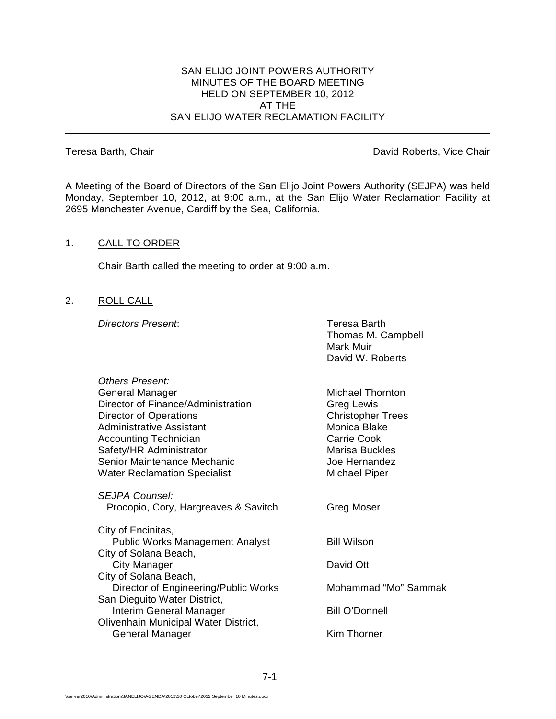#### SAN ELIJO JOINT POWERS AUTHORITY MINUTES OF THE BOARD MEETING HELD ON SEPTEMBER 10, 2012 AT THE SAN ELIJO WATER RECLAMATION FACILITY

Teresa Barth, Chair **David Roberts**, Vice Chair

A Meeting of the Board of Directors of the San Elijo Joint Powers Authority (SEJPA) was held Monday, September 10, 2012, at 9:00 a.m., at the San Elijo Water Reclamation Facility at 2695 Manchester Avenue, Cardiff by the Sea, California.

#### 1. CALL TO ORDER

Chair Barth called the meeting to order at 9:00 a.m.

2. ROLL CALL

**Directors Present:** Teresa Barth

Thomas M. Campbell Mark Muir David W. Roberts

| Others Present:                        |                          |
|----------------------------------------|--------------------------|
| General Manager                        | Michael Thornton         |
| Director of Finance/Administration     | Greg Lewis               |
| Director of Operations                 | <b>Christopher Trees</b> |
| Administrative Assistant               | Monica Blake             |
| <b>Accounting Technician</b>           | <b>Carrie Cook</b>       |
| Safety/HR Administrator                | <b>Marisa Buckles</b>    |
| Senior Maintenance Mechanic            | Joe Hernandez            |
| <b>Water Reclamation Specialist</b>    | Michael Piper            |
|                                        |                          |
| SEJPA Counsel:                         |                          |
| Procopio, Cory, Hargreaves & Savitch   | Greg Moser               |
| City of Encinitas,                     |                          |
| <b>Public Works Management Analyst</b> | <b>Bill Wilson</b>       |
| City of Solana Beach,                  |                          |
| City Manager                           | David Ott                |
| City of Solana Beach,                  |                          |
| Director of Engineering/Public Works   | Mohammad "Mo" Sammak     |
| San Dieguito Water District,           |                          |
| Interim General Manager                | <b>Bill O'Donnell</b>    |
| Olivenhain Municipal Water District,   |                          |
| General Manager                        | Kim Thorner              |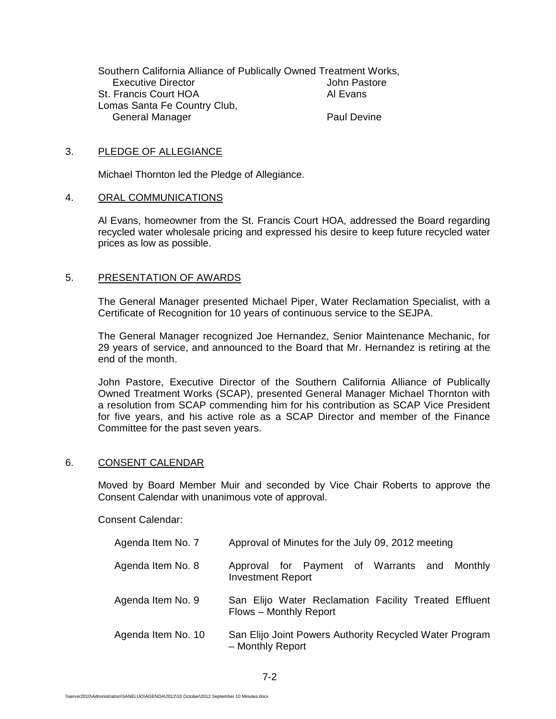Southern California Alliance of Publically Owned Treatment Works, **Executive Director** St. Francis Court HOA Al Evans Lomas Santa Fe Country Club, General Manager **Paul Devine** 

#### 3. PLEDGE OF ALLEGIANCE

Michael Thornton led the Pledge of Allegiance.

#### 4. ORAL COMMUNICATIONS

Al Evans, homeowner from the St. Francis Court HOA, addressed the Board regarding recycled water wholesale pricing and expressed his desire to keep future recycled water prices as low as possible.

#### 5. PRESENTATION OF AWARDS

The General Manager presented Michael Piper, Water Reclamation Specialist, with a Certificate of Recognition for 10 years of continuous service to the SEJPA.

The General Manager recognized Joe Hernandez, Senior Maintenance Mechanic, for 29 years of service, and announced to the Board that Mr. Hernandez is retiring at the end of the month.

John Pastore, Executive Director of the Southern California Alliance of Publically Owned Treatment Works (SCAP), presented General Manager Michael Thornton with a resolution from SCAP commending him for his contribution as SCAP Vice President for five years, and his active role as a SCAP Director and member of the Finance Committee for the past seven years.

#### 6. CONSENT CALENDAR

Moved by Board Member Muir and seconded by Vice Chair Roberts to approve the Consent Calendar with unanimous vote of approval.

Consent Calendar:

| Agenda Item No. 7  | Approval of Minutes for the July 09, 2012 meeting                               |
|--------------------|---------------------------------------------------------------------------------|
| Agenda Item No. 8  | Approval for Payment of Warrants and<br>Monthly<br><b>Investment Report</b>     |
| Agenda Item No. 9  | San Elijo Water Reclamation Facility Treated Effluent<br>Flows - Monthly Report |
| Agenda Item No. 10 | San Elijo Joint Powers Authority Recycled Water Program<br>- Monthly Report     |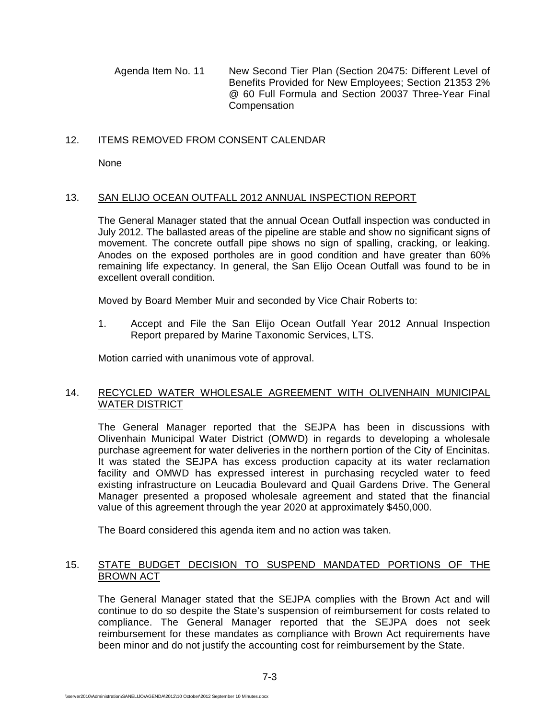Agenda Item No. 11 New Second Tier Plan (Section 20475: Different Level of Benefits Provided for New Employees; Section 21353 2% @ 60 Full Formula and Section 20037 Three-Year Final **Compensation** 

# 12. ITEMS REMOVED FROM CONSENT CALENDAR

**None** 

# 13. SAN ELIJO OCEAN OUTFALL 2012 ANNUAL INSPECTION REPORT

The General Manager stated that the annual Ocean Outfall inspection was conducted in July 2012. The ballasted areas of the pipeline are stable and show no significant signs of movement. The concrete outfall pipe shows no sign of spalling, cracking, or leaking. Anodes on the exposed portholes are in good condition and have greater than 60% remaining life expectancy. In general, the San Elijo Ocean Outfall was found to be in excellent overall condition.

Moved by Board Member Muir and seconded by Vice Chair Roberts to:

1. Accept and File the San Elijo Ocean Outfall Year 2012 Annual Inspection Report prepared by Marine Taxonomic Services, LTS.

Motion carried with unanimous vote of approval.

# 14. RECYCLED WATER WHOLESALE AGREEMENT WITH OLIVENHAIN MUNICIPAL WATER DISTRICT

The General Manager reported that the SEJPA has been in discussions with Olivenhain Municipal Water District (OMWD) in regards to developing a wholesale purchase agreement for water deliveries in the northern portion of the City of Encinitas. It was stated the SEJPA has excess production capacity at its water reclamation facility and OMWD has expressed interest in purchasing recycled water to feed existing infrastructure on Leucadia Boulevard and Quail Gardens Drive. The General Manager presented a proposed wholesale agreement and stated that the financial value of this agreement through the year 2020 at approximately \$450,000.

The Board considered this agenda item and no action was taken.

# 15. STATE BUDGET DECISION TO SUSPEND MANDATED PORTIONS OF THE BROWN ACT

The General Manager stated that the SEJPA complies with the Brown Act and will continue to do so despite the State's suspension of reimbursement for costs related to compliance. The General Manager reported that the SEJPA does not seek reimbursement for these mandates as compliance with Brown Act requirements have been minor and do not justify the accounting cost for reimbursement by the State.